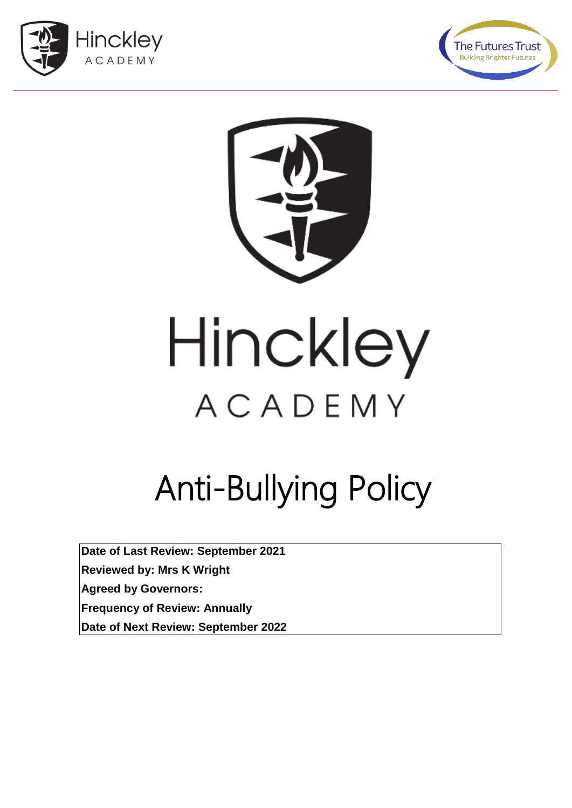





# Hinckley ACADEMY

# Anti-Bullying Policy

**Date of Last Review: September 2021**

**Reviewed by: Mrs K Wright**

**Agreed by Governors:** 

**Frequency of Review: Annually** 

**Date of Next Review: September 2022**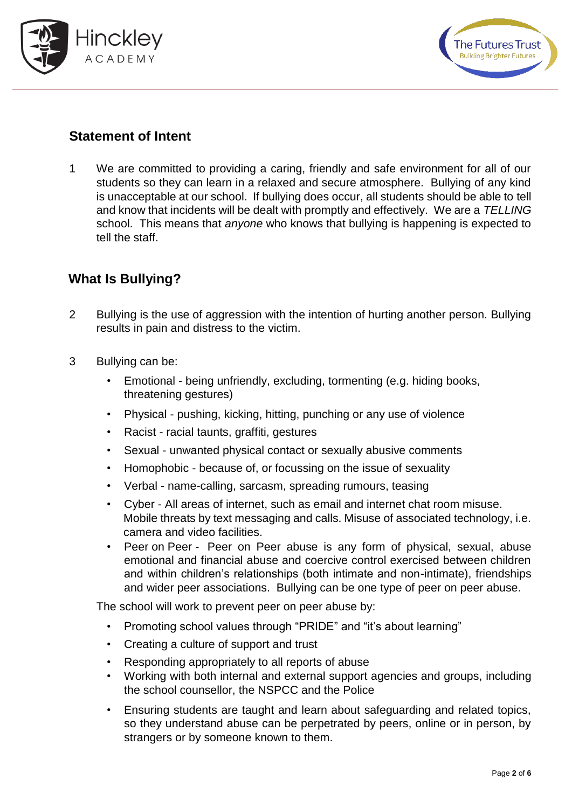



#### **Statement of Intent**

1 We are committed to providing a caring, friendly and safe environment for all of our students so they can learn in a relaxed and secure atmosphere. Bullying of any kind is unacceptable at our school. If bullying does occur, all students should be able to tell and know that incidents will be dealt with promptly and effectively. We are a *TELLING*  school. This means that *anyone* who knows that bullying is happening is expected to tell the staff.

## **What Is Bullying?**

- 2 Bullying is the use of aggression with the intention of hurting another person. Bullying results in pain and distress to the victim.
- 3 Bullying can be:
	- Emotional being unfriendly, excluding, tormenting (e.g. hiding books, threatening gestures)
	- Physical pushing, kicking, hitting, punching or any use of violence
	- Racist racial taunts, graffiti, gestures
	- Sexual unwanted physical contact or sexually abusive comments
	- Homophobic because of, or focussing on the issue of sexuality
	- Verbal name-calling, sarcasm, spreading rumours, teasing
	- Cyber All areas of internet, such as email and internet chat room misuse. Mobile threats by text messaging and calls. Misuse of associated technology, i.e. camera and video facilities.
	- Peer on Peer Peer on Peer abuse is any form of physical, sexual, abuse emotional and financial abuse and coercive control exercised between children and within children's relationships (both intimate and non-intimate), friendships and wider peer associations. Bullying can be one type of peer on peer abuse.

The school will work to prevent peer on peer abuse by:

- Promoting school values through "PRIDE" and "it's about learning"
- Creating a culture of support and trust
- Responding appropriately to all reports of abuse
- Working with both internal and external support agencies and groups, including the school counsellor, the NSPCC and the Police
- Ensuring students are taught and learn about safeguarding and related topics, so they understand abuse can be perpetrated by peers, online or in person, by strangers or by someone known to them.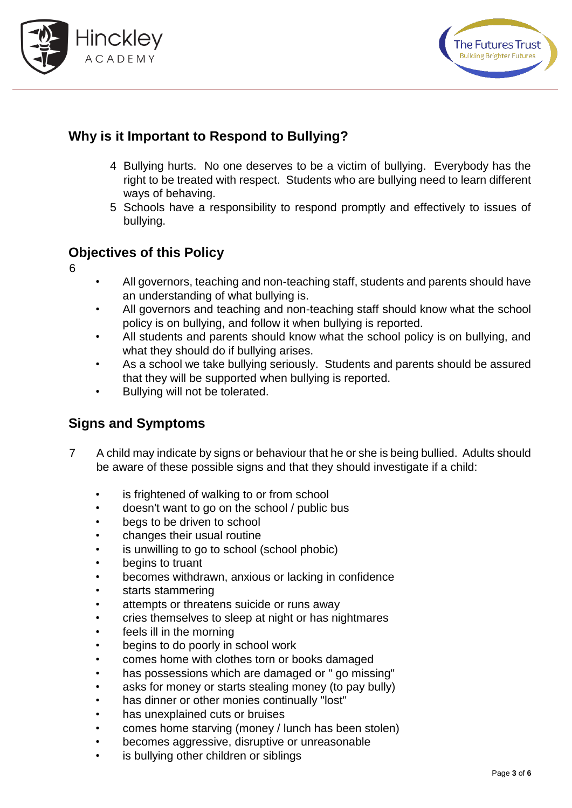



# **Why is it Important to Respond to Bullying?**

- 4 Bullying hurts. No one deserves to be a victim of bullying. Everybody has the right to be treated with respect. Students who are bullying need to learn different ways of behaving.
- 5 Schools have a responsibility to respond promptly and effectively to issues of bullying.

# **Objectives of this Policy**

- 6
- All governors, teaching and non-teaching staff, students and parents should have an understanding of what bullying is.
- All governors and teaching and non-teaching staff should know what the school policy is on bullying, and follow it when bullying is reported.
- All students and parents should know what the school policy is on bullying, and what they should do if bullying arises.
- As a school we take bullying seriously. Students and parents should be assured that they will be supported when bullying is reported.
- Bullying will not be tolerated.

## **Signs and Symptoms**

- 7 A child may indicate by signs or behaviour that he or she is being bullied. Adults should be aware of these possible signs and that they should investigate if a child:
	- is frightened of walking to or from school
	- doesn't want to go on the school / public bus
	- begs to be driven to school
	- changes their usual routine
	- is unwilling to go to school (school phobic)
	- begins to truant
	- becomes withdrawn, anxious or lacking in confidence
	- starts stammering
	- attempts or threatens suicide or runs away
	- cries themselves to sleep at night or has nightmares
	- feels ill in the morning
	- begins to do poorly in school work
	- comes home with clothes torn or books damaged
	- has possessions which are damaged or " go missing"
	- asks for money or starts stealing money (to pay bully)
	- has dinner or other monies continually "lost"
	- has unexplained cuts or bruises
	- comes home starving (money / lunch has been stolen)
	- becomes aggressive, disruptive or unreasonable
	- is bullying other children or siblings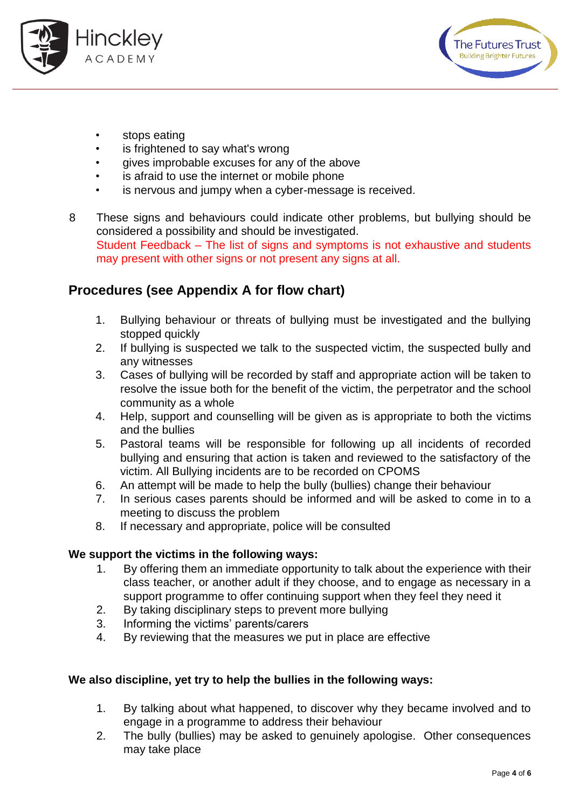



- stops eating
- is frightened to say what's wrong
- gives improbable excuses for any of the above
- is afraid to use the internet or mobile phone
- is nervous and jumpy when a cyber-message is received.
- 8 These signs and behaviours could indicate other problems, but bullying should be considered a possibility and should be investigated. Student Feedback – The list of signs and symptoms is not exhaustive and students may present with other signs or not present any signs at all.

#### **Procedures (see Appendix A for flow chart)**

- 1. Bullying behaviour or threats of bullying must be investigated and the bullying stopped quickly
- 2. If bullying is suspected we talk to the suspected victim, the suspected bully and any witnesses
- 3. Cases of bullying will be recorded by staff and appropriate action will be taken to resolve the issue both for the benefit of the victim, the perpetrator and the school community as a whole
- 4. Help, support and counselling will be given as is appropriate to both the victims and the bullies
- 5. Pastoral teams will be responsible for following up all incidents of recorded bullying and ensuring that action is taken and reviewed to the satisfactory of the victim. All Bullying incidents are to be recorded on CPOMS
- 6. An attempt will be made to help the bully (bullies) change their behaviour
- 7. In serious cases parents should be informed and will be asked to come in to a meeting to discuss the problem
- 8. If necessary and appropriate, police will be consulted

#### **We support the victims in the following ways:**

- 1. By offering them an immediate opportunity to talk about the experience with their class teacher, or another adult if they choose, and to engage as necessary in a support programme to offer continuing support when they feel they need it
- 2. By taking disciplinary steps to prevent more bullying
- 3. Informing the victims' parents/carers
- 4. By reviewing that the measures we put in place are effective

#### **We also discipline, yet try to help the bullies in the following ways:**

- 1. By talking about what happened, to discover why they became involved and to engage in a programme to address their behaviour
- 2. The bully (bullies) may be asked to genuinely apologise. Other consequences may take place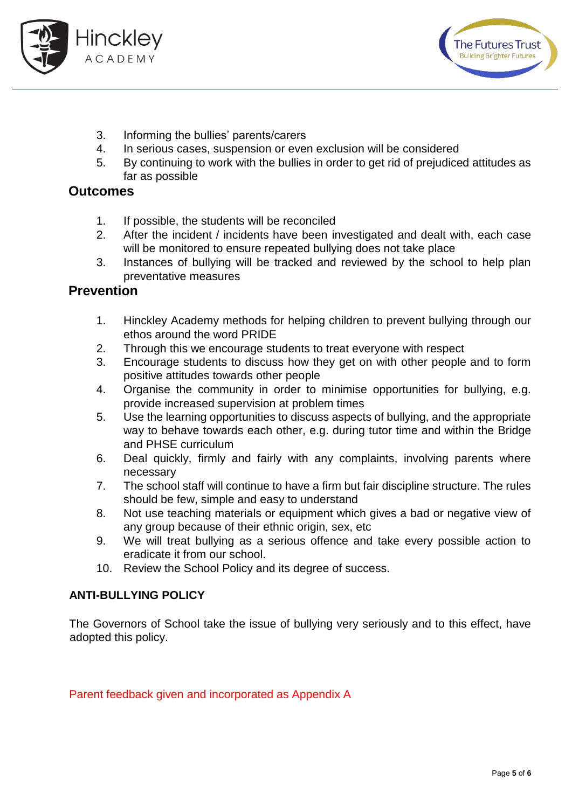



- 3. Informing the bullies' parents/carers
- 4. In serious cases, suspension or even exclusion will be considered
- 5. By continuing to work with the bullies in order to get rid of prejudiced attitudes as far as possible

#### **Outcomes**

- 1. If possible, the students will be reconciled
- 2. After the incident / incidents have been investigated and dealt with, each case will be monitored to ensure repeated bullying does not take place
- 3. Instances of bullying will be tracked and reviewed by the school to help plan preventative measures

#### **Prevention**

- 1. Hinckley Academy methods for helping children to prevent bullying through our ethos around the word PRIDE
- 2. Through this we encourage students to treat everyone with respect
- 3. Encourage students to discuss how they get on with other people and to form positive attitudes towards other people
- 4. Organise the community in order to minimise opportunities for bullying, e.g. provide increased supervision at problem times
- 5. Use the learning opportunities to discuss aspects of bullying, and the appropriate way to behave towards each other, e.g. during tutor time and within the Bridge and PHSE curriculum
- 6. Deal quickly, firmly and fairly with any complaints, involving parents where necessary
- 7. The school staff will continue to have a firm but fair discipline structure. The rules should be few, simple and easy to understand
- 8. Not use teaching materials or equipment which gives a bad or negative view of any group because of their ethnic origin, sex, etc
- 9. We will treat bullying as a serious offence and take every possible action to eradicate it from our school.
- 10. Review the School Policy and its degree of success.

#### **ANTI-BULLYING POLICY**

The Governors of School take the issue of bullying very seriously and to this effect, have adopted this policy.

Parent feedback given and incorporated as Appendix A